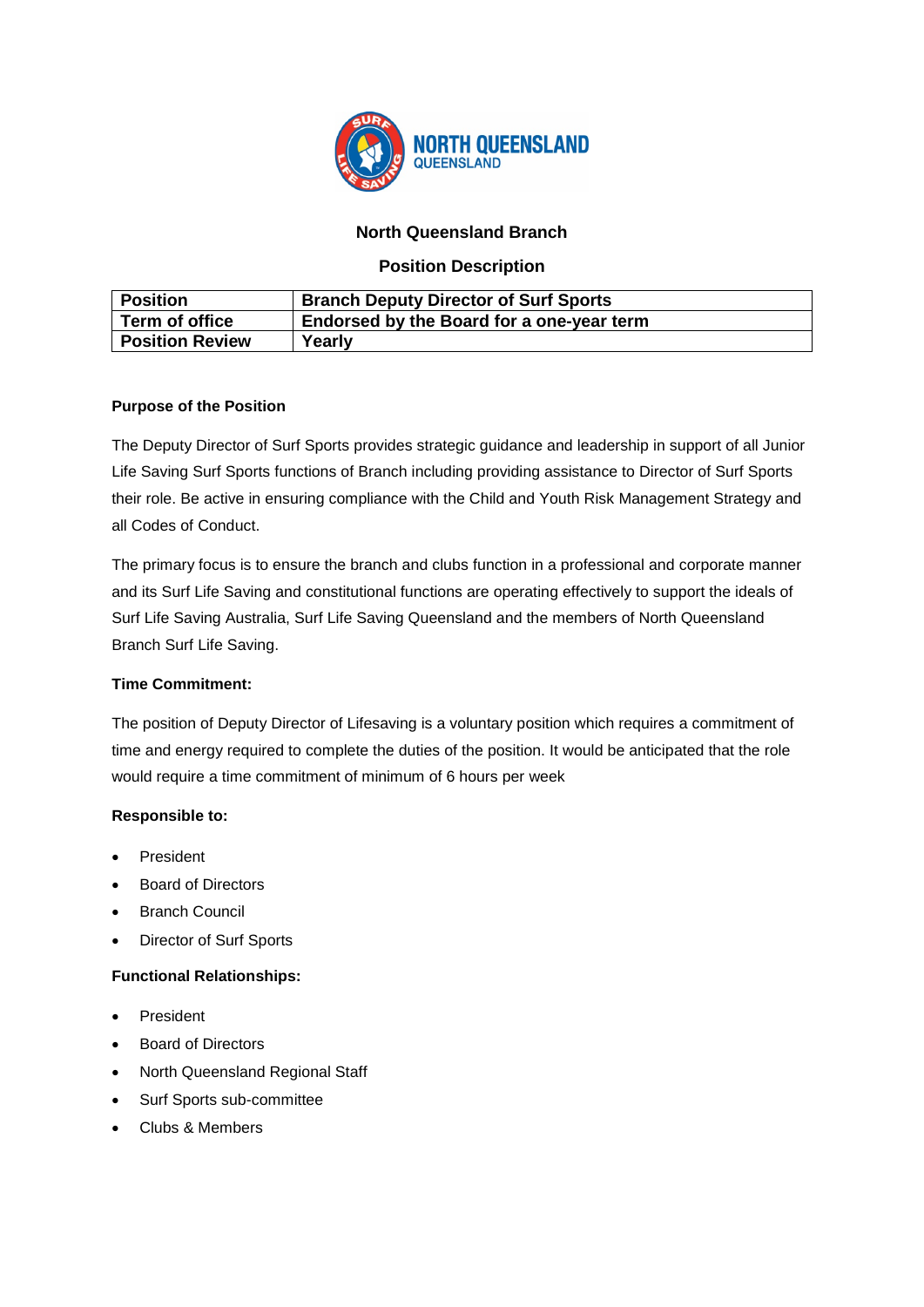

# **North Queensland Branch**

## **Position Description**

| <b>Position</b>        | <b>Branch Deputy Director of Surf Sports</b>     |
|------------------------|--------------------------------------------------|
| Term of office         | <b>Endorsed by the Board for a one-year term</b> |
| <b>Position Review</b> | Yearly                                           |

## **Purpose of the Position**

The Deputy Director of Surf Sports provides strategic guidance and leadership in support of all Junior Life Saving Surf Sports functions of Branch including providing assistance to Director of Surf Sports their role. Be active in ensuring compliance with the Child and Youth Risk Management Strategy and all Codes of Conduct.

The primary focus is to ensure the branch and clubs function in a professional and corporate manner and its Surf Life Saving and constitutional functions are operating effectively to support the ideals of Surf Life Saving Australia, Surf Life Saving Queensland and the members of North Queensland Branch Surf Life Saving.

## **Time Commitment:**

The position of Deputy Director of Lifesaving is a voluntary position which requires a commitment of time and energy required to complete the duties of the position. It would be anticipated that the role would require a time commitment of minimum of 6 hours per week

## **Responsible to:**

- **President**
- Board of Directors
- Branch Council
- Director of Surf Sports

## **Functional Relationships:**

- **President**
- Board of Directors
- North Queensland Regional Staff
- Surf Sports sub-committee
- Clubs & Members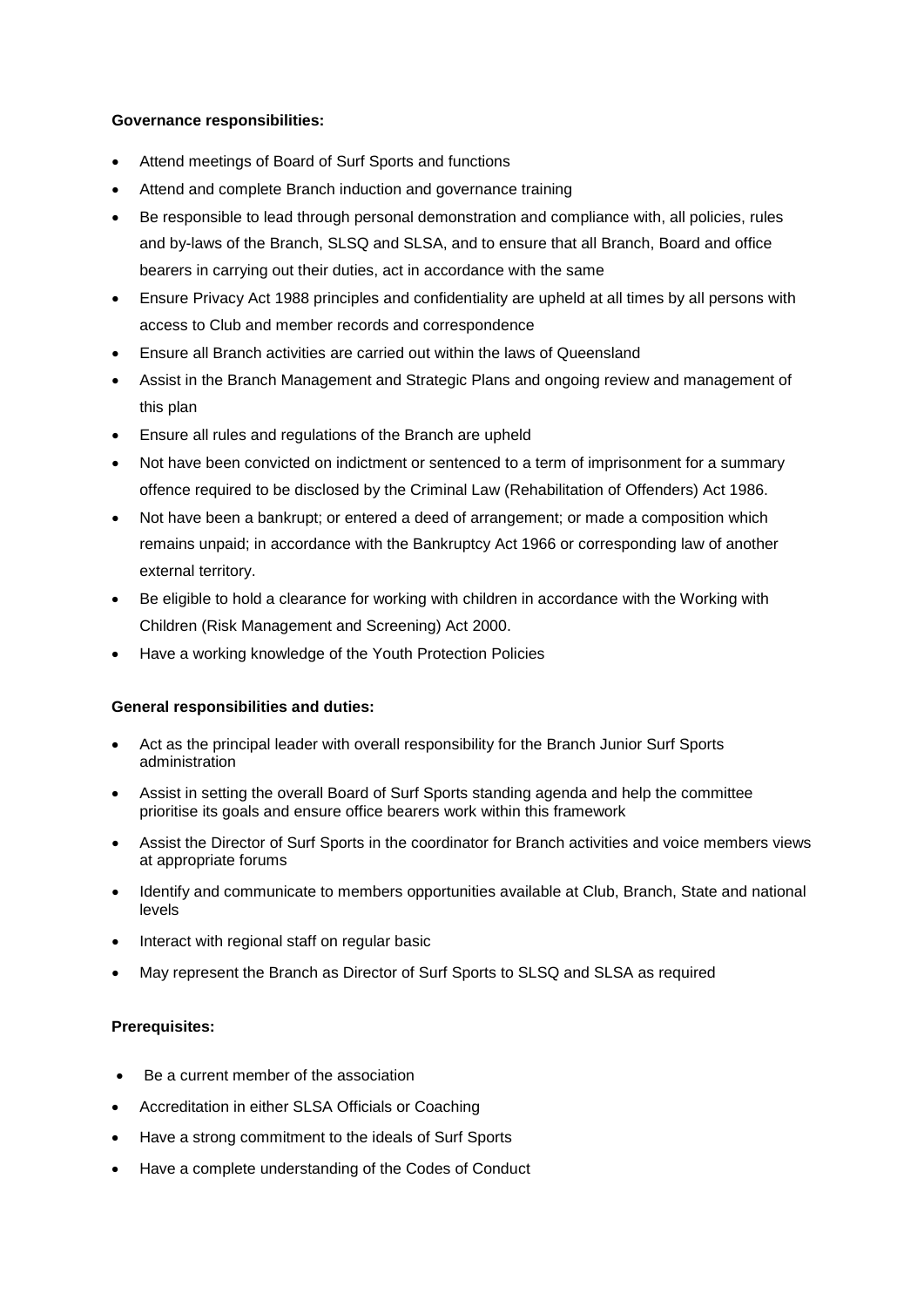#### **Governance responsibilities:**

- Attend meetings of Board of Surf Sports and functions
- Attend and complete Branch induction and governance training
- Be responsible to lead through personal demonstration and compliance with, all policies, rules and by-laws of the Branch, SLSQ and SLSA, and to ensure that all Branch, Board and office bearers in carrying out their duties, act in accordance with the same
- Ensure Privacy Act 1988 principles and confidentiality are upheld at all times by all persons with access to Club and member records and correspondence
- Ensure all Branch activities are carried out within the laws of Queensland
- Assist in the Branch Management and Strategic Plans and ongoing review and management of this plan
- Ensure all rules and regulations of the Branch are upheld
- Not have been convicted on indictment or sentenced to a term of imprisonment for a summary offence required to be disclosed by the Criminal Law (Rehabilitation of Offenders) Act 1986.
- Not have been a bankrupt; or entered a deed of arrangement; or made a composition which remains unpaid; in accordance with the Bankruptcy Act 1966 or corresponding law of another external territory.
- Be eligible to hold a clearance for working with children in accordance with the Working with Children (Risk Management and Screening) Act 2000.
- Have a working knowledge of the Youth Protection Policies

## **General responsibilities and duties:**

- Act as the principal leader with overall responsibility for the Branch Junior Surf Sports administration
- Assist in setting the overall Board of Surf Sports standing agenda and help the committee prioritise its goals and ensure office bearers work within this framework
- Assist the Director of Surf Sports in the coordinator for Branch activities and voice members views at appropriate forums
- Identify and communicate to members opportunities available at Club, Branch, State and national levels
- Interact with regional staff on regular basic
- May represent the Branch as Director of Surf Sports to SLSQ and SLSA as required

## **Prerequisites:**

- Be a current member of the association
- Accreditation in either SLSA Officials or Coaching
- Have a strong commitment to the ideals of Surf Sports
- Have a complete understanding of the Codes of Conduct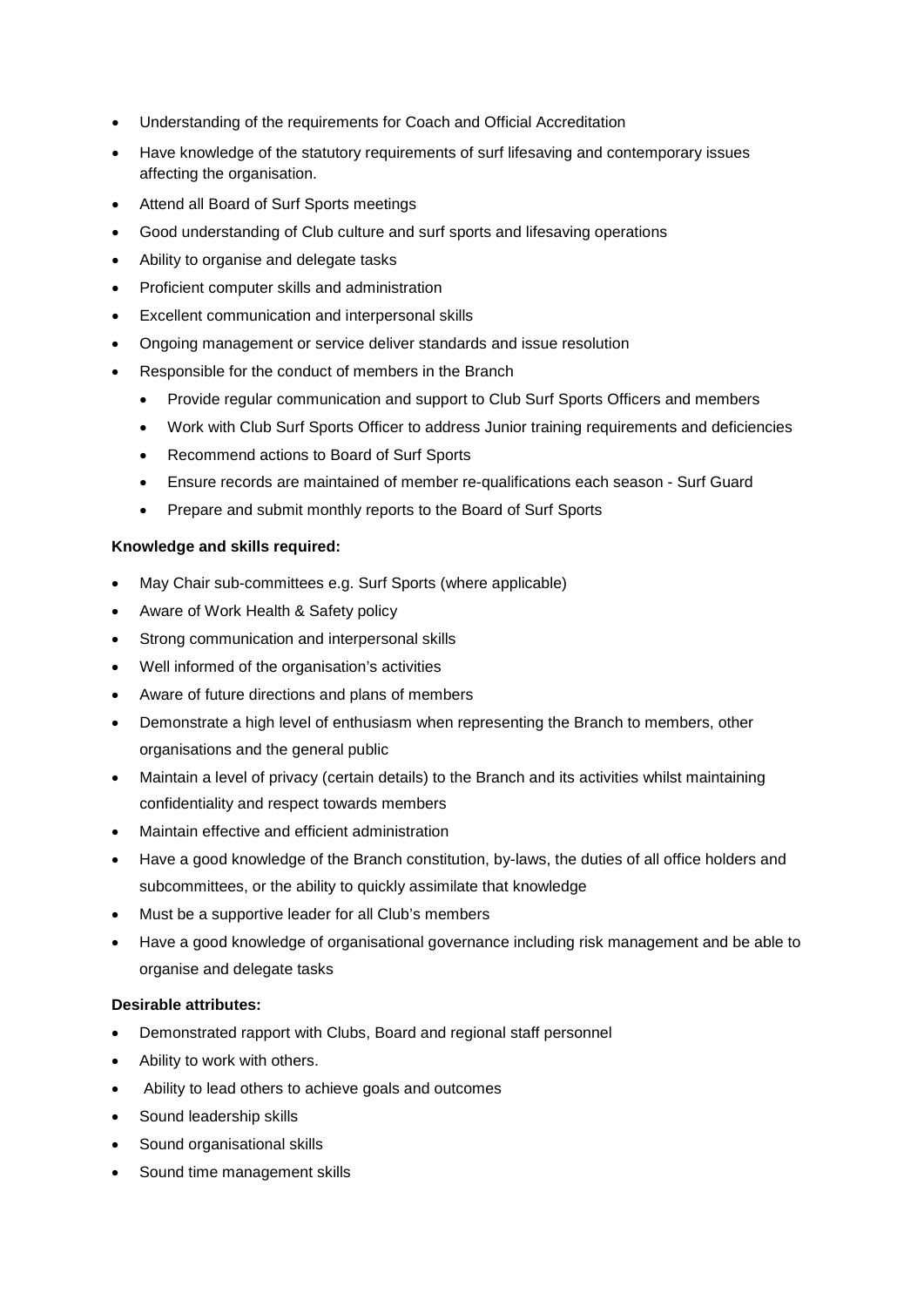- Understanding of the requirements for Coach and Official Accreditation
- Have knowledge of the statutory requirements of surf lifesaving and contemporary issues affecting the organisation.
- Attend all Board of Surf Sports meetings
- Good understanding of Club culture and surf sports and lifesaving operations
- Ability to organise and delegate tasks
- Proficient computer skills and administration
- Excellent communication and interpersonal skills
- Ongoing management or service deliver standards and issue resolution
- Responsible for the conduct of members in the Branch
	- Provide regular communication and support to Club Surf Sports Officers and members
	- Work with Club Surf Sports Officer to address Junior training requirements and deficiencies
	- Recommend actions to Board of Surf Sports
	- Ensure records are maintained of member re-qualifications each season Surf Guard
	- Prepare and submit monthly reports to the Board of Surf Sports

## **Knowledge and skills required:**

- May Chair sub-committees e.g. Surf Sports (where applicable)
- Aware of Work Health & Safety policy
- Strong communication and interpersonal skills
- Well informed of the organisation's activities
- Aware of future directions and plans of members
- Demonstrate a high level of enthusiasm when representing the Branch to members, other organisations and the general public
- Maintain a level of privacy (certain details) to the Branch and its activities whilst maintaining confidentiality and respect towards members
- Maintain effective and efficient administration
- Have a good knowledge of the Branch constitution, by-laws, the duties of all office holders and subcommittees, or the ability to quickly assimilate that knowledge
- Must be a supportive leader for all Club's members
- Have a good knowledge of organisational governance including risk management and be able to organise and delegate tasks

## **Desirable attributes:**

- Demonstrated rapport with Clubs, Board and regional staff personnel
- Ability to work with others.
- Ability to lead others to achieve goals and outcomes
- Sound leadership skills
- Sound organisational skills
- Sound time management skills